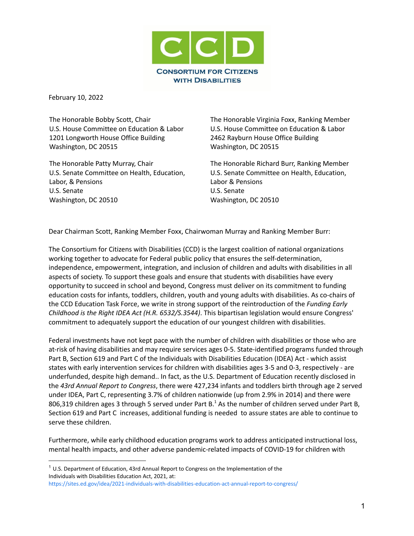

February 10, 2022

The Honorable Bobby Scott, Chair U.S. House Committee on Education & Labor 1201 Longworth House Office Building Washington, DC 20515

The Honorable Patty Murray, Chair U.S. Senate Committee on Health, Education, Labor, & Pensions U.S. Senate Washington, DC 20510

The Honorable Virginia Foxx, Ranking Member U.S. House Committee on Education & Labor 2462 Rayburn House Office Building Washington, DC 20515

The Honorable Richard Burr, Ranking Member U.S. Senate Committee on Health, Education, Labor & Pensions U.S. Senate Washington, DC 20510

Dear Chairman Scott, Ranking Member Foxx, Chairwoman Murray and Ranking Member Burr:

The Consortium for Citizens with Disabilities (CCD) is the largest coalition of national organizations working together to advocate for Federal public policy that ensures the self-determination, independence, empowerment, integration, and inclusion of children and adults with disabilities in all aspects of society. To support these goals and ensure that students with disabilities have every opportunity to succeed in school and beyond, Congress must deliver on its commitment to funding education costs for infants, toddlers, children, youth and young adults with disabilities. As co-chairs of the CCD Education Task Force, we write in strong support of the reintroduction of the *Funding Early Childhood is the Right IDEA Act (H.R. 6532/S.3544)*. This bipartisan legislation would ensure Congress' commitment to adequately support the education of our youngest children with disabilities.

Federal investments have not kept pace with the number of children with disabilities or those who are at-risk of having disabilities and may require services ages 0-5. State-identified programs funded through Part B, Section 619 and Part C of the Individuals with Disabilities Education (IDEA) Act - which assist states with early intervention services for children with disabilities ages 3-5 and 0-3, respectively - are underfunded, despite high demand.. In fact, as the U.S. Department of Education recently disclosed in the *43rd Annual Report to Congress*, there were 427,234 infants and toddlers birth through age 2 served under IDEA, Part C, representing 3.7% of children nationwide (up from 2.9% in 2014) and there were 806,319 children ages 3 through 5 served under Part B.<sup>1</sup> As the number of children served under Part B, Section 619 and Part C increases, additional funding is needed to assure states are able to continue to serve these children.

Furthermore, while early childhood education programs work to address anticipated instructional loss, mental health impacts, and other adverse pandemic-related impacts of COVID-19 for children with

 $1$  U.S. Department of Education, 43rd Annual Report to Congress on the Implementation of the Individuals with Disabilities Education Act, 2021, at:

<https://sites.ed.gov/idea/2021-individuals-with-disabilities-education-act-annual-report-to-congress/>